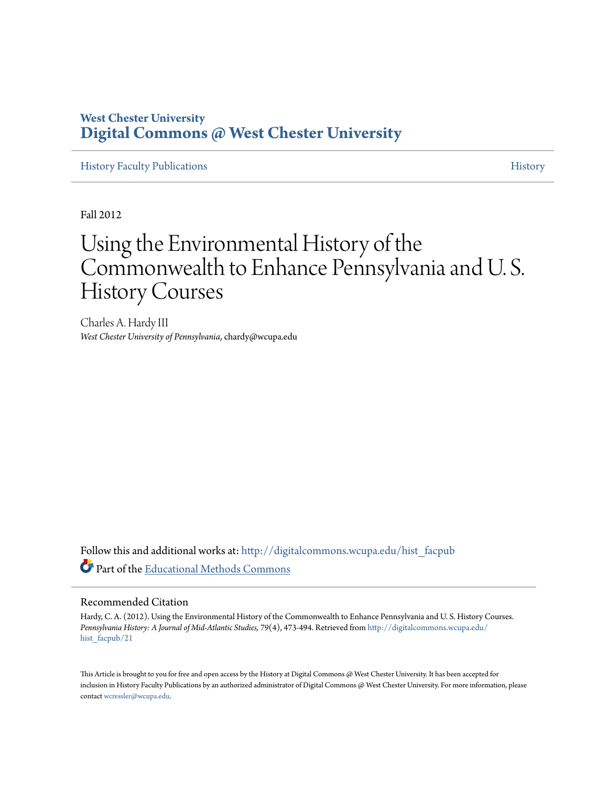# **West Chester University [Digital Commons @ West Chester University](http://digitalcommons.wcupa.edu?utm_source=digitalcommons.wcupa.edu%2Fhist_facpub%2F21&utm_medium=PDF&utm_campaign=PDFCoverPages)**

[History Faculty Publications](http://digitalcommons.wcupa.edu/hist_facpub?utm_source=digitalcommons.wcupa.edu%2Fhist_facpub%2F21&utm_medium=PDF&utm_campaign=PDFCoverPages) **[History](http://digitalcommons.wcupa.edu/hist?utm_source=digitalcommons.wcupa.edu%2Fhist_facpub%2F21&utm_medium=PDF&utm_campaign=PDFCoverPages)** History **History History History** 

Fall 2012

# Using the Environmental History of the Commonwealth to Enhance Pennsylvania and U. S. History Courses

Charles A. Hardy III *West Chester University of Pennsylvania*, chardy@wcupa.edu

Follow this and additional works at: [http://digitalcommons.wcupa.edu/hist\\_facpub](http://digitalcommons.wcupa.edu/hist_facpub?utm_source=digitalcommons.wcupa.edu%2Fhist_facpub%2F21&utm_medium=PDF&utm_campaign=PDFCoverPages) Part of the [Educational Methods Commons](http://network.bepress.com/hgg/discipline/1227?utm_source=digitalcommons.wcupa.edu%2Fhist_facpub%2F21&utm_medium=PDF&utm_campaign=PDFCoverPages)

# Recommended Citation

Hardy, C. A. (2012). Using the Environmental History of the Commonwealth to Enhance Pennsylvania and U. S. History Courses. *Pennsylvania History: A Journal of Mid-Atlantic Studies, 79*(4), 473-494. Retrieved from [http://digitalcommons.wcupa.edu/](http://digitalcommons.wcupa.edu/hist_facpub/21?utm_source=digitalcommons.wcupa.edu%2Fhist_facpub%2F21&utm_medium=PDF&utm_campaign=PDFCoverPages) [hist\\_facpub/21](http://digitalcommons.wcupa.edu/hist_facpub/21?utm_source=digitalcommons.wcupa.edu%2Fhist_facpub%2F21&utm_medium=PDF&utm_campaign=PDFCoverPages)

This Article is brought to you for free and open access by the History at Digital Commons @ West Chester University. It has been accepted for inclusion in History Faculty Publications by an authorized administrator of Digital Commons @ West Chester University. For more information, please contact [wcressler@wcupa.edu.](mailto:wcressler@wcupa.edu)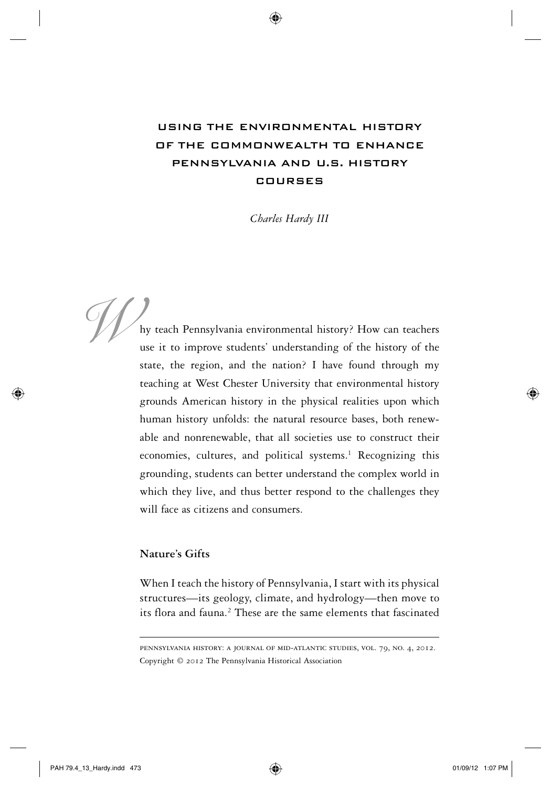# Using the Environmental History of the Commonwealth to Enhance Pennsylvania and U.S. History Courses

*Charles Hardy III*

hy teach Pennsylvania environmental history? How can teachers use it to improve students' understanding of the history of the state, the region, and the nation? I have found through my teaching at West Chester University that environmental history grounds American history in the physical realities upon which human history unfolds: the natural resource bases, both renewable and nonrenewable, that all societies use to construct their economies, cultures, and political systems.<sup>1</sup> Recognizing this grounding, students can better understand the complex world in which they live, and thus better respond to the challenges they will face as citizens and consumers. We hy teach Pennsyl<br>use it to improv

## **Nature's Gifts**

When I teach the history of Pennsylvania, I start with its physical structures—its geology, climate, and hydrology—then move to its flora and fauna.<sup>2</sup> These are the same elements that fascinated

PAH 79.4\_13\_Hardy.indd 473 01/09/12 1:07 PM

pennsylvania history: a journal of mid-atlantic studies, vol. 79, no. 4, 2012. Copyright © 2012 The Pennsylvania Historical Association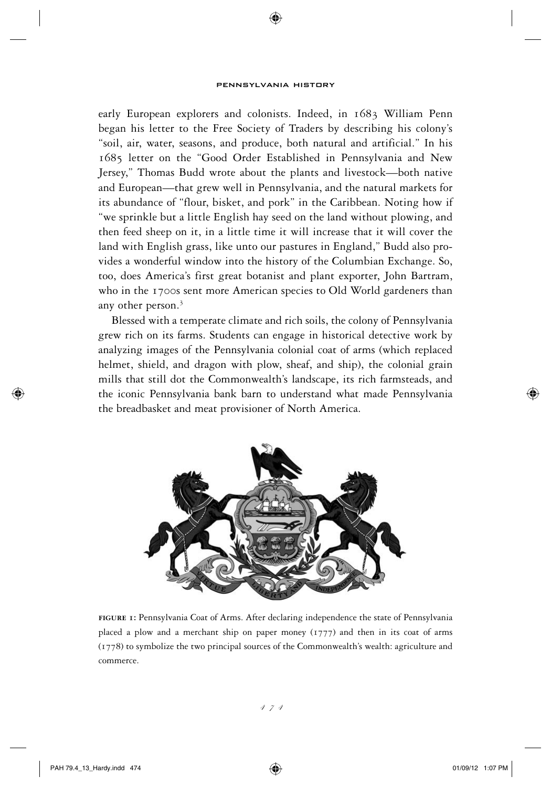⊕

early European explorers and colonists. Indeed, in 1683 William Penn began his letter to the Free Society of Traders by describing his colony's "soil, air, water, seasons, and produce, both natural and artificial." In his 1685 letter on the "Good Order Established in Pennsylvania and New Jersey," Thomas Budd wrote about the plants and livestock—both native and European—that grew well in Pennsylvania, and the natural markets for its abundance of "flour, bisket, and pork" in the Caribbean. Noting how if "we sprinkle but a little English hay seed on the land without plowing, and then feed sheep on it, in a little time it will increase that it will cover the land with English grass, like unto our pastures in England," Budd also provides a wonderful window into the history of the Columbian Exchange. So, too, does America's first great botanist and plant exporter, John Bartram, who in the 1700s sent more American species to Old World gardeners than any other person.<sup>3</sup>

Blessed with a temperate climate and rich soils, the colony of Pennsylvania grew rich on its farms. Students can engage in historical detective work by analyzing images of the Pennsylvania colonial coat of arms (which replaced helmet, shield, and dragon with plow, sheaf, and ship), the colonial grain mills that still dot the Commonwealth's landscape, its rich farmsteads, and the iconic Pennsylvania bank barn to understand what made Pennsylvania the breadbasket and meat provisioner of North America.



**figure 1:** Pennsylvania Coat of Arms. After declaring independence the state of Pennsylvania placed a plow and a merchant ship on paper money  $(1777)$  and then in its coat of arms (1778) to symbolize the two principal sources of the Commonwealth's wealth: agriculture and commerce.

474

⇔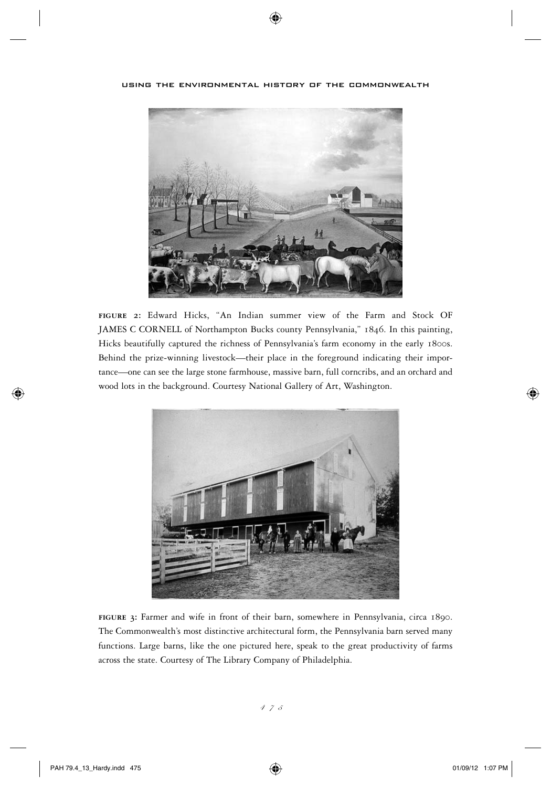

using the environmental history of the commonwealth

⊕

**figure 2:** Edward Hicks, "An Indian summer view of the Farm and Stock OF JAMES C CORNELL of Northampton Bucks county Pennsylvania," 1846. In this painting, Hicks beautifully captured the richness of Pennsylvania's farm economy in the early 1800s. Behind the prize-winning livestock—their place in the foreground indicating their importance—one can see the large stone farmhouse, massive barn, full corncribs, and an orchard and wood lots in the background. Courtesy National Gallery of Art, Washington.



**figure 3:** Farmer and wife in front of their barn, somewhere in Pennsylvania, circa 1890. The Commonwealth's most distinctive architectural form, the Pennsylvania barn served many functions. Large barns, like the one pictured here, speak to the great productivity of farms across the state. Courtesy of The Library Company of Philadelphia.

⊕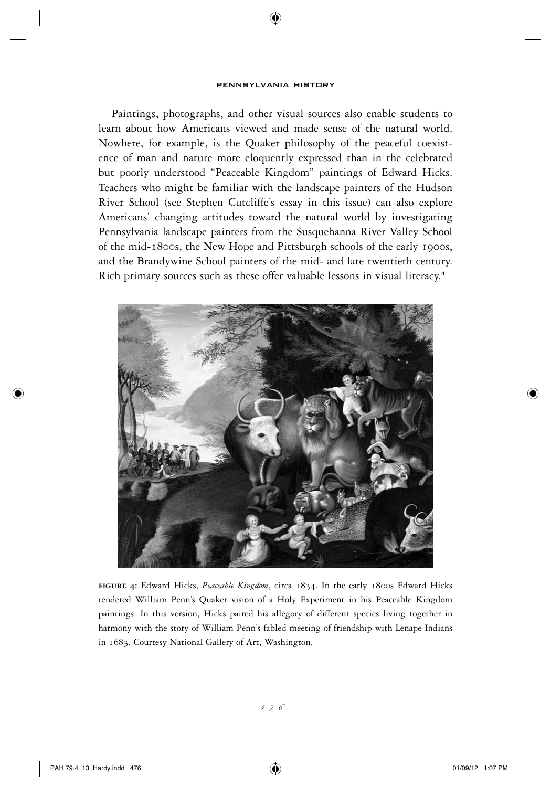⊕

Paintings, photographs, and other visual sources also enable students to learn about how Americans viewed and made sense of the natural world. Nowhere, for example, is the Quaker philosophy of the peaceful coexistence of man and nature more eloquently expressed than in the celebrated but poorly understood "Peaceable Kingdom" paintings of Edward Hicks. Teachers who might be familiar with the landscape painters of the Hudson River School (see Stephen Cutcliffe's essay in this issue) can also explore Americans' changing attitudes toward the natural world by investigating Pennsylvania landscape painters from the Susquehanna River Valley School of the mid-1800s, the New Hope and Pittsburgh schools of the early 1900s, and the Brandywine School painters of the mid- and late twentieth century. Rich primary sources such as these offer valuable lessons in visual literacy.<sup>4</sup>



**figure 4:** Edward Hicks, *Peaceable Kingdom*, circa 1834. In the early 1800s Edward Hicks rendered William Penn's Quaker vision of a Holy Experiment in his Peaceable Kingdom paintings. In this version, Hicks paired his allegory of different species living together in harmony with the story of William Penn's fabled meeting of friendship with Lenape Indians in 1683. Courtesy National Gallery of Art, Washington.

⊕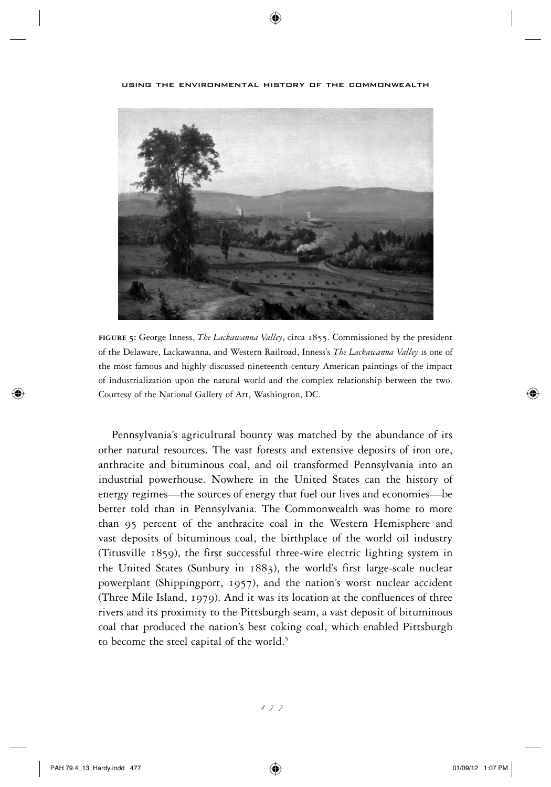**figure 5:** George Inness, *The Lackawanna Valley*, circa 1855. Commissioned by the president of the Delaware, Lackawanna, and Western Railroad, Inness's *The Lackawanna Valley* is one of the most famous and highly discussed nineteenth-century American paintings of the impact of industrialization upon the natural world and the complex relationship between the two. Courtesy of the National Gallery of Art, Washington, DC.

Pennsylvania's agricultural bounty was matched by the abundance of its other natural resources. The vast forests and extensive deposits of iron ore, anthracite and bituminous coal, and oil transformed Pennsylvania into an industrial powerhouse. Nowhere in the United States can the history of energy regimes—the sources of energy that fuel our lives and economies—be better told than in Pennsylvania. The Commonwealth was home to more than 95 percent of the anthracite coal in the Western Hemisphere and vast deposits of bituminous coal, the birthplace of the world oil industry (Titusville 1859), the first successful three-wire electric lighting system in the United States (Sunbury in 1883), the world's first large-scale nuclear powerplant (Shippingport, 1957), and the nation's worst nuclear accident (Three Mile Island, 1979). And it was its location at the confluences of three rivers and its proximity to the Pittsburgh seam, a vast deposit of bituminous coal that produced the nation's best coking coal, which enabled Pittsburgh to become the steel capital of the world.<sup>5</sup>

 $\leftrightarrow$ 

 $\textcolor{blue}{\textcircled{\centerdot}}$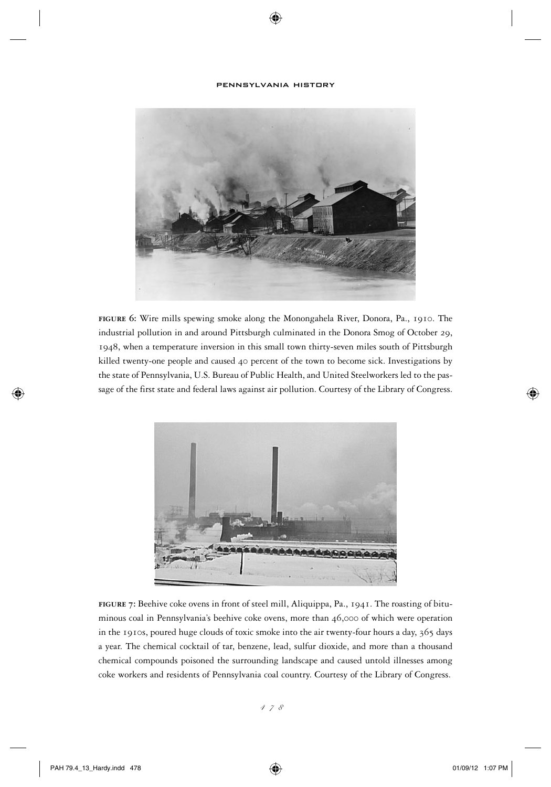⊕



**figure 6:** Wire mills spewing smoke along the Monongahela River, Donora, Pa., 1910. The industrial pollution in and around Pittsburgh culminated in the Donora Smog of October 29, 1948, when a temperature inversion in this small town thirty-seven miles south of Pittsburgh killed twenty-one people and caused 40 percent of the town to become sick. Investigations by the state of Pennsylvania, U.S. Bureau of Public Health, and United Steelworkers led to the passage of the first state and federal laws against air pollution. Courtesy of the Library of Congress.



**figure 7:** Beehive coke ovens in front of steel mill, Aliquippa, Pa., 1941. The roasting of bituminous coal in Pennsylvania's beehive coke ovens, more than 46,000 of which were operation in the 1910s, poured huge clouds of toxic smoke into the air twenty-four hours a day, 365 days a year. The chemical cocktail of tar, benzene, lead, sulfur dioxide, and more than a thousand chemical compounds poisoned the surrounding landscape and caused untold illnesses among coke workers and residents of Pennsylvania coal country. Courtesy of the Library of Congress.

⊕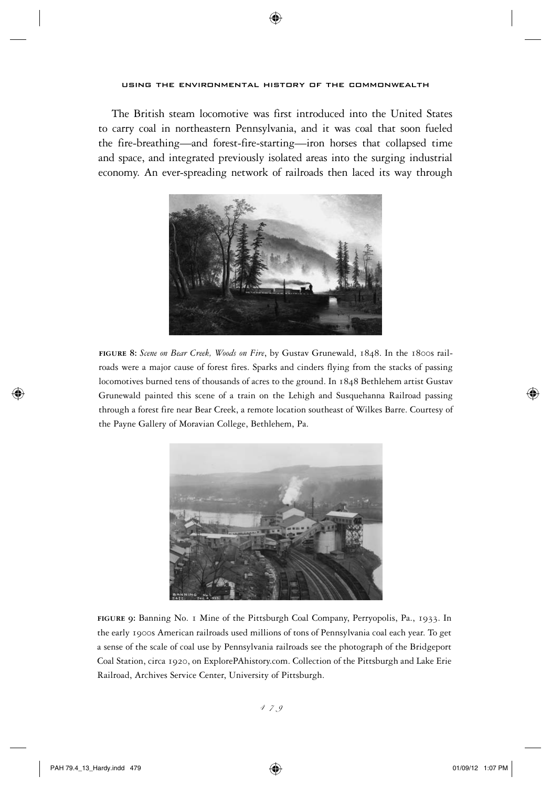The British steam locomotive was first introduced into the United States to carry coal in northeastern Pennsylvania, and it was coal that soon fueled the fire-breathing—and forest-fire-starting—iron horses that collapsed time and space, and integrated previously isolated areas into the surging industrial economy. An ever-spreading network of railroads then laced its way through



**figure 8:** *Scene on Bear Creek, Woods on Fire*, by Gustav Grunewald, 1848. In the 1800s railroads were a major cause of forest fires. Sparks and cinders flying from the stacks of passing locomotives burned tens of thousands of acres to the ground. In 1848 Bethlehem artist Gustav Grunewald painted this scene of a train on the Lehigh and Susquehanna Railroad passing through a forest fire near Bear Creek, a remote location southeast of Wilkes Barre. Courtesy of the Payne Gallery of Moravian College, Bethlehem, Pa.



**figure 9:** Banning No. 1 Mine of the Pittsburgh Coal Company, Perryopolis, Pa., 1933. In the early 1900s American railroads used millions of tons of Pennsylvania coal each year. To get a sense of the scale of coal use by Pennsylvania railroads see the photograph of the Bridgeport Coal Station, circa 1920, on ExplorePAhistory.com. Collection of the Pittsburgh and Lake Erie Railroad, Archives Service Center, University of Pittsburgh.

 $\leftrightarrow$ 

⇔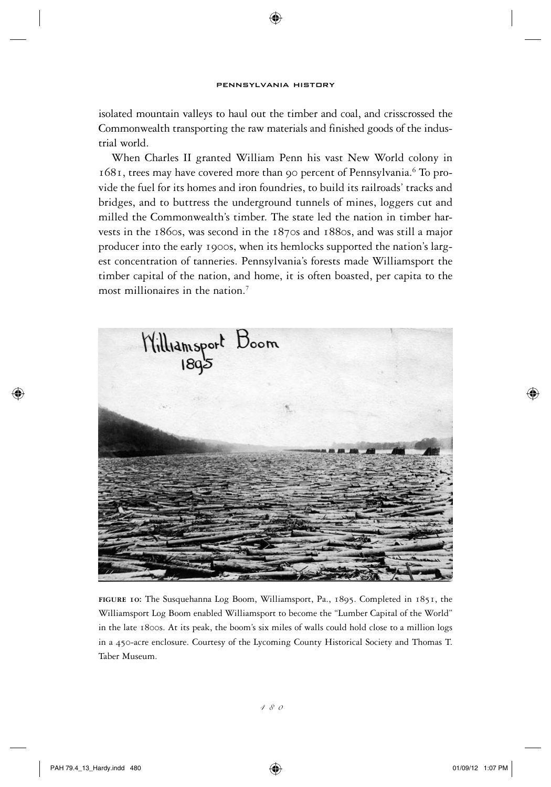⊕

isolated mountain valleys to haul out the timber and coal, and crisscrossed the Commonwealth transporting the raw materials and finished goods of the industrial world.

When Charles II granted William Penn his vast New World colony in 1681, trees may have covered more than 90 percent of Pennsylvania.<sup>6</sup> To provide the fuel for its homes and iron foundries, to build its railroads' tracks and bridges, and to buttress the underground tunnels of mines, loggers cut and milled the Commonwealth's timber. The state led the nation in timber harvests in the 1860s, was second in the 1870s and 1880s, and was still a major producer into the early 1900s, when its hemlocks supported the nation's largest concentration of tanneries. Pennsylvania's forests made Williamsport the timber capital of the nation, and home, it is often boasted, per capita to the most millionaires in the nation.<sup>7</sup>



**figure 10:** The Susquehanna Log Boom, Williamsport, Pa., 1895. Completed in 1851, the Williamsport Log Boom enabled Williamsport to become the "Lumber Capital of the World" in the late 1800s. At its peak, the boom's six miles of walls could hold close to a million logs in a 450-acre enclosure. Courtesy of the Lycoming County Historical Society and Thomas T. Taber Museum.

⊕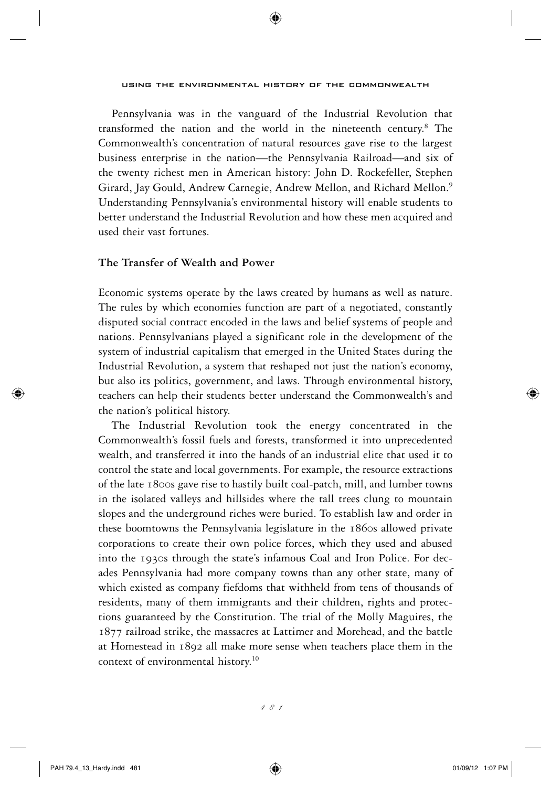Pennsylvania was in the vanguard of the Industrial Revolution that transformed the nation and the world in the nineteenth century.<sup>8</sup> The Commonwealth's concentration of natural resources gave rise to the largest business enterprise in the nation—the Pennsylvania Railroad—and six of the twenty richest men in American history: John D. Rockefeller, Stephen Girard, Jay Gould, Andrew Carnegie, Andrew Mellon, and Richard Mellon.<sup>9</sup> Understanding Pennsylvania's environmental history will enable students to better understand the Industrial Revolution and how these men acquired and used their vast fortunes.

### **The Transfer of Wealth and Power**

Economic systems operate by the laws created by humans as well as nature. The rules by which economies function are part of a negotiated, constantly disputed social contract encoded in the laws and belief systems of people and nations. Pennsylvanians played a significant role in the development of the system of industrial capitalism that emerged in the United States during the Industrial Revolution, a system that reshaped not just the nation's economy, but also its politics, government, and laws. Through environmental history, teachers can help their students better understand the Commonwealth's and the nation's political history.

The Industrial Revolution took the energy concentrated in the Commonwealth's fossil fuels and forests, transformed it into unprecedented wealth, and transferred it into the hands of an industrial elite that used it to control the state and local governments. For example, the resource extractions of the late 1800s gave rise to hastily built coal-patch, mill, and lumber towns in the isolated valleys and hillsides where the tall trees clung to mountain slopes and the underground riches were buried. To establish law and order in these boomtowns the Pennsylvania legislature in the 1860s allowed private corporations to create their own police forces, which they used and abused into the 1930s through the state's infamous Coal and Iron Police. For decades Pennsylvania had more company towns than any other state, many of which existed as company fiefdoms that withheld from tens of thousands of residents, many of them immigrants and their children, rights and protections guaranteed by the Constitution. The trial of the Molly Maguires, the 1877 railroad strike, the massacres at Lattimer and Morehead, and the battle at Homestead in 1892 all make more sense when teachers place them in the context of environmental history.<sup>10</sup>

⇔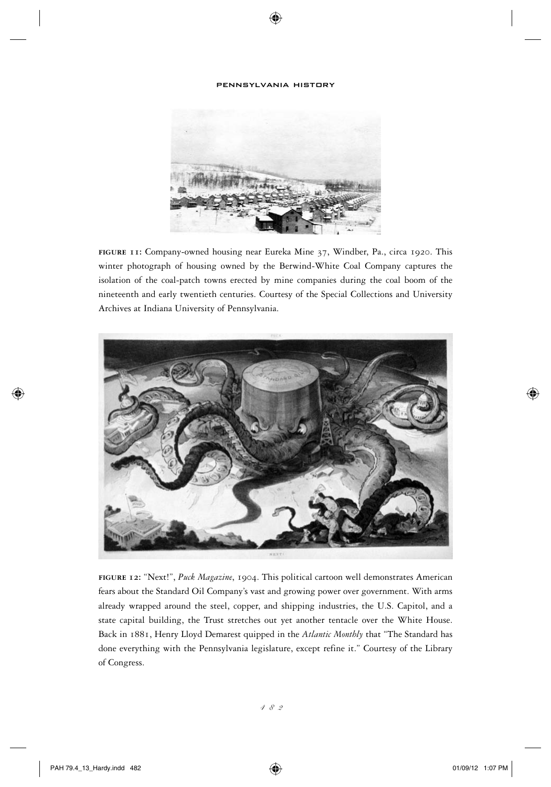⊕



**figure 11:** Company-owned housing near Eureka Mine 37, Windber, Pa., circa 1920. This winter photograph of housing owned by the Berwind-White Coal Company captures the isolation of the coal-patch towns erected by mine companies during the coal boom of the nineteenth and early twentieth centuries. Courtesy of the Special Collections and University Archives at Indiana University of Pennsylvania.



**figure 12:** "Next!", *Puck Magazine*, 1904. This political cartoon well demonstrates American fears about the Standard Oil Company's vast and growing power over government. With arms already wrapped around the steel, copper, and shipping industries, the U.S. Capitol, and a state capital building, the Trust stretches out yet another tentacle over the White House. Back in 1881, Henry Lloyd Demarest quipped in the *Atlantic Monthly* that "The Standard has done everything with the Pennsylvania legislature, except refine it." Courtesy of the Library of Congress.

⊕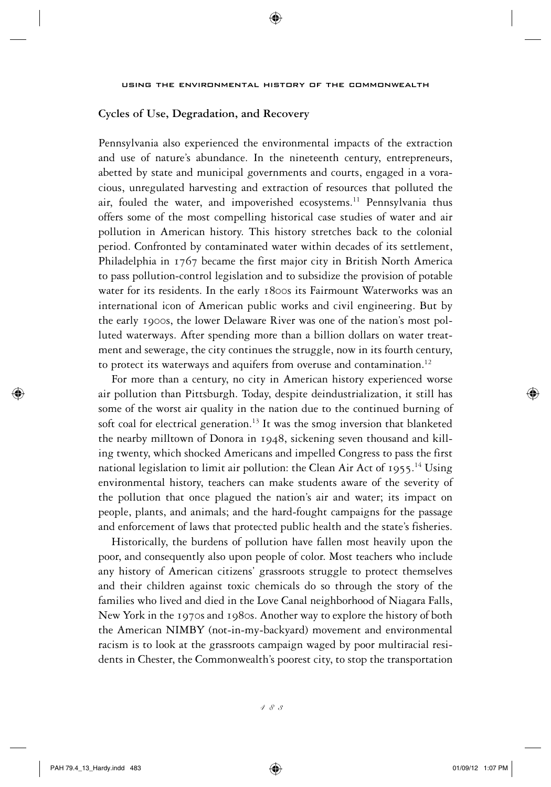# **Cycles of Use, Degradation, and Recovery**

Pennsylvania also experienced the environmental impacts of the extraction and use of nature's abundance. In the nineteenth century, entrepreneurs, abetted by state and municipal governments and courts, engaged in a voracious, unregulated harvesting and extraction of resources that polluted the air, fouled the water, and impoverished ecosystems.<sup>11</sup> Pennsylvania thus offers some of the most compelling historical case studies of water and air pollution in American history. This history stretches back to the colonial period. Confronted by contaminated water within decades of its settlement, Philadelphia in 1767 became the first major city in British North America to pass pollution-control legislation and to subsidize the provision of potable water for its residents. In the early 1800s its Fairmount Waterworks was an international icon of American public works and civil engineering. But by the early 1900s, the lower Delaware River was one of the nation's most polluted waterways. After spending more than a billion dollars on water treatment and sewerage, the city continues the struggle, now in its fourth century, to protect its waterways and aquifers from overuse and contamination.<sup>12</sup>

For more than a century, no city in American history experienced worse air pollution than Pittsburgh. Today, despite deindustrialization, it still has some of the worst air quality in the nation due to the continued burning of soft coal for electrical generation.<sup>13</sup> It was the smog inversion that blanketed the nearby milltown of Donora in 1948, sickening seven thousand and killing twenty, which shocked Americans and impelled Congress to pass the first national legislation to limit air pollution: the Clean Air Act of 1955.<sup>14</sup> Using environmental history, teachers can make students aware of the severity of the pollution that once plagued the nation's air and water; its impact on people, plants, and animals; and the hard-fought campaigns for the passage and enforcement of laws that protected public health and the state's fisheries.

Historically, the burdens of pollution have fallen most heavily upon the poor, and consequently also upon people of color. Most teachers who include any history of American citizens' grassroots struggle to protect themselves and their children against toxic chemicals do so through the story of the families who lived and died in the Love Canal neighborhood of Niagara Falls, New York in the 1970s and 1980s. Another way to explore the history of both the American NIMBY (not-in-my-backyard) movement and environmental racism is to look at the grassroots campaign waged by poor multiracial residents in Chester, the Commonwealth's poorest city, to stop the transportation

483

⇔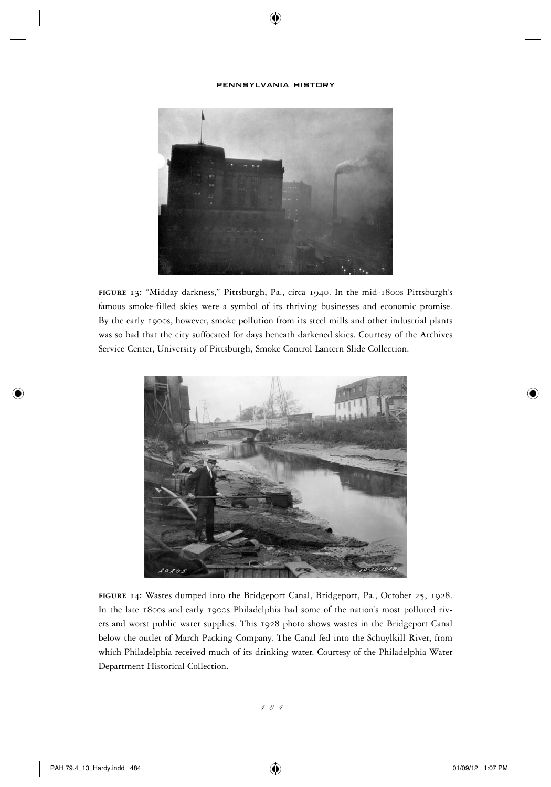⊕



**figure 13:** "Midday darkness," Pittsburgh, Pa., circa 1940. In the mid-1800s Pittsburgh's famous smoke-filled skies were a symbol of its thriving businesses and economic promise. By the early 1900s, however, smoke pollution from its steel mills and other industrial plants was so bad that the city suffocated for days beneath darkened skies. Courtesy of the Archives Service Center, University of Pittsburgh, Smoke Control Lantern Slide Collection.



**figure 14:** Wastes dumped into the Bridgeport Canal, Bridgeport, Pa., October 25, 1928. In the late 1800s and early 1900s Philadelphia had some of the nation's most polluted rivers and worst public water supplies. This 1928 photo shows wastes in the Bridgeport Canal below the outlet of March Packing Company. The Canal fed into the Schuylkill River, from which Philadelphia received much of its drinking water. Courtesy of the Philadelphia Water Department Historical Collection.

⊕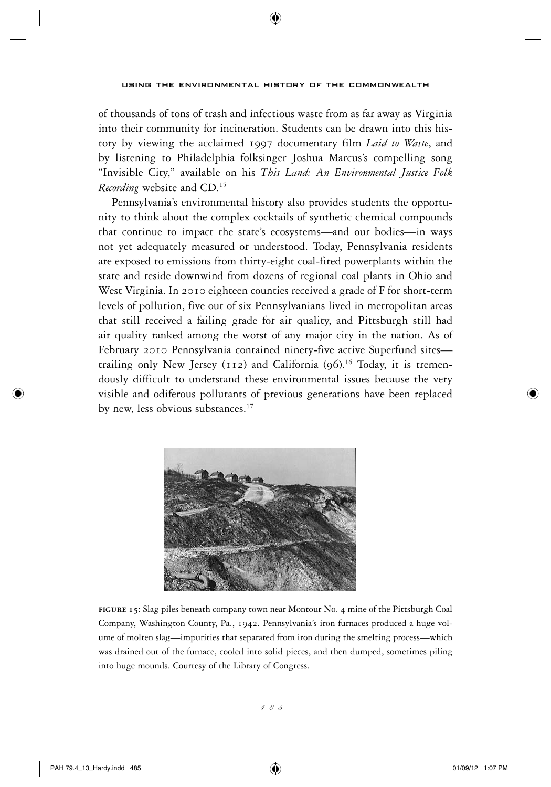of thousands of tons of trash and infectious waste from as far away as Virginia into their community for incineration. Students can be drawn into this history by viewing the acclaimed 1997 documentary film *Laid to Waste*, and by listening to Philadelphia folksinger Joshua Marcus's compelling song "Invisible City," available on his *This Land: An Environmental Justice Folk Recording* website and CD.<sup>15</sup>

Pennsylvania's environmental history also provides students the opportunity to think about the complex cocktails of synthetic chemical compounds that continue to impact the state's ecosystems—and our bodies—in ways not yet adequately measured or understood. Today, Pennsylvania residents are exposed to emissions from thirty-eight coal-fired powerplants within the state and reside downwind from dozens of regional coal plants in Ohio and West Virginia. In 2010 eighteen counties received a grade of F for short-term levels of pollution, five out of six Pennsylvanians lived in metropolitan areas that still received a failing grade for air quality, and Pittsburgh still had air quality ranked among the worst of any major city in the nation. As of February 2010 Pennsylvania contained ninety-five active Superfund sites trailing only New Jersey (112) and California  $(96)^{16}$  Today, it is tremendously difficult to understand these environmental issues because the very visible and odiferous pollutants of previous generations have been replaced by new, less obvious substances.<sup>17</sup>



**figure 15:** Slag piles beneath company town near Montour No. 4 mine of the Pittsburgh Coal Company, Washington County, Pa., 1942. Pennsylvania's iron furnaces produced a huge volume of molten slag—impurities that separated from iron during the smelting process—which was drained out of the furnace, cooled into solid pieces, and then dumped, sometimes piling into huge mounds. Courtesy of the Library of Congress.

⇔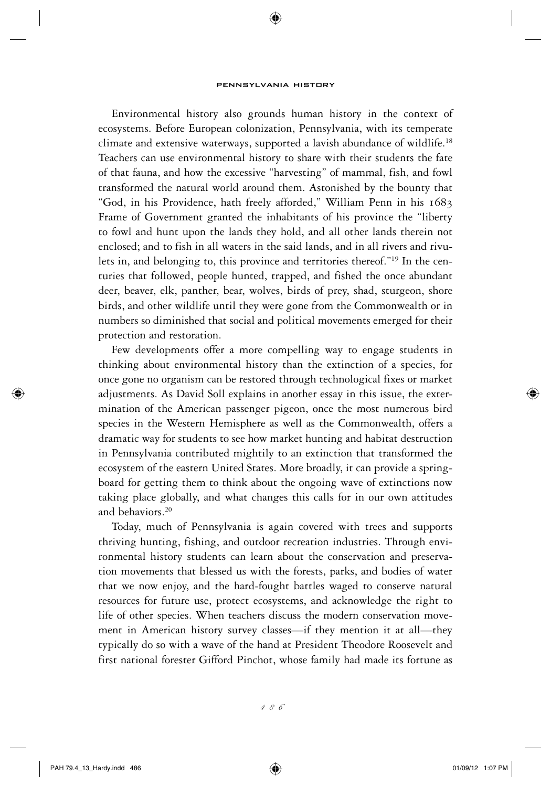⊕

Environmental history also grounds human history in the context of ecosystems. Before European colonization, Pennsylvania, with its temperate climate and extensive waterways, supported a lavish abundance of wildlife.<sup>18</sup> Teachers can use environmental history to share with their students the fate of that fauna, and how the excessive "harvesting" of mammal, fish, and fowl transformed the natural world around them. Astonished by the bounty that "God, in his Providence, hath freely afforded," William Penn in his 1683 Frame of Government granted the inhabitants of his province the "liberty to fowl and hunt upon the lands they hold, and all other lands therein not enclosed; and to fish in all waters in the said lands, and in all rivers and rivulets in, and belonging to, this province and territories thereof."19 In the centuries that followed, people hunted, trapped, and fished the once abundant deer, beaver, elk, panther, bear, wolves, birds of prey, shad, sturgeon, shore birds, and other wildlife until they were gone from the Commonwealth or in numbers so diminished that social and political movements emerged for their protection and restoration.

Few developments offer a more compelling way to engage students in thinking about environmental history than the extinction of a species, for once gone no organism can be restored through technological fixes or market adjustments. As David Soll explains in another essay in this issue, the extermination of the American passenger pigeon, once the most numerous bird species in the Western Hemisphere as well as the Commonwealth, offers a dramatic way for students to see how market hunting and habitat destruction in Pennsylvania contributed mightily to an extinction that transformed the ecosystem of the eastern United States. More broadly, it can provide a springboard for getting them to think about the ongoing wave of extinctions now taking place globally, and what changes this calls for in our own attitudes and behaviors.<sup>20</sup>

Today, much of Pennsylvania is again covered with trees and supports thriving hunting, fishing, and outdoor recreation industries. Through environmental history students can learn about the conservation and preservation movements that blessed us with the forests, parks, and bodies of water that we now enjoy, and the hard-fought battles waged to conserve natural resources for future use, protect ecosystems, and acknowledge the right to life of other species. When teachers discuss the modern conservation movement in American history survey classes—if they mention it at all—they typically do so with a wave of the hand at President Theodore Roosevelt and first national forester Gifford Pinchot, whose family had made its fortune as

486

⇔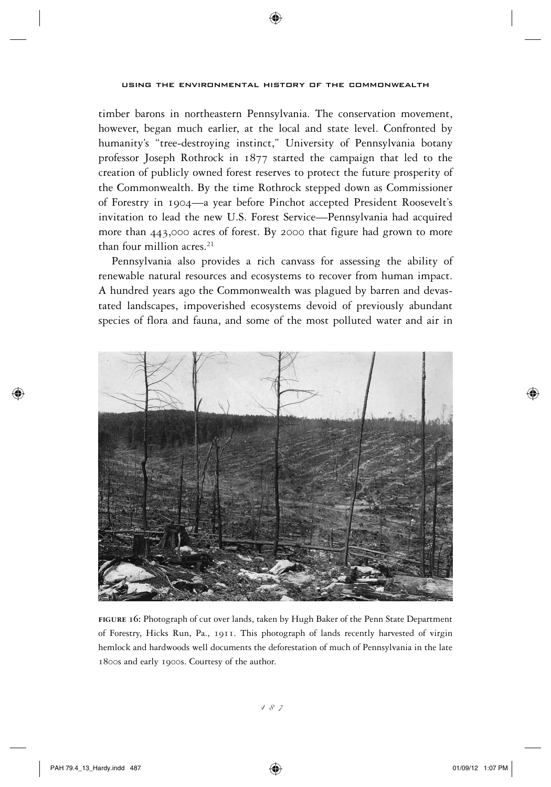timber barons in northeastern Pennsylvania. The conservation movement, however, began much earlier, at the local and state level. Confronted by humanity's "tree-destroying instinct," University of Pennsylvania botany professor Joseph Rothrock in 1877 started the campaign that led to the creation of publicly owned forest reserves to protect the future prosperity of the Commonwealth. By the time Rothrock stepped down as Commissioner of Forestry in 1904—a year before Pinchot accepted President Roosevelt's invitation to lead the new U.S. Forest Service—Pennsylvania had acquired more than 443,000 acres of forest. By 2000 that figure had grown to more than four million acres.<sup>21</sup>

Pennsylvania also provides a rich canvass for assessing the ability of renewable natural resources and ecosystems to recover from human impact. A hundred years ago the Commonwealth was plagued by barren and devastated landscapes, impoverished ecosystems devoid of previously abundant species of flora and fauna, and some of the most polluted water and air in



**figure 16:** Photograph of cut over lands, taken by Hugh Baker of the Penn State Department of Forestry, Hicks Run, Pa., 1911. This photograph of lands recently harvested of virgin hemlock and hardwoods well documents the deforestation of much of Pennsylvania in the late 1800s and early 1900s. Courtesy of the author.

 $\leftrightarrow$ 

⇔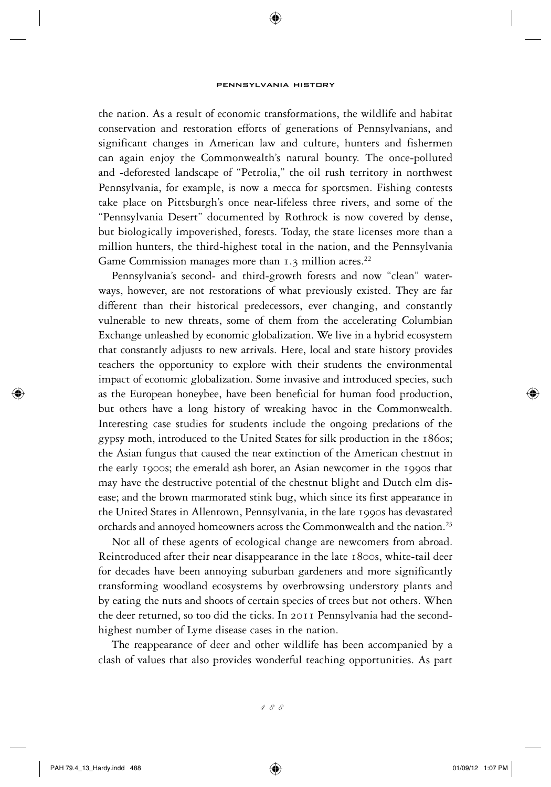⊕

the nation. As a result of economic transformations, the wildlife and habitat conservation and restoration efforts of generations of Pennsylvanians, and significant changes in American law and culture, hunters and fishermen can again enjoy the Commonwealth's natural bounty. The once-polluted and -deforested landscape of "Petrolia," the oil rush territory in northwest Pennsylvania, for example, is now a mecca for sportsmen. Fishing contests take place on Pittsburgh's once near-lifeless three rivers, and some of the "Pennsylvania Desert" documented by Rothrock is now covered by dense, but biologically impoverished, forests. Today, the state licenses more than a million hunters, the third-highest total in the nation, and the Pennsylvania Game Commission manages more than  $1.3$  million acres.<sup>22</sup>

Pennsylvania's second- and third-growth forests and now "clean" waterways, however, are not restorations of what previously existed. They are far different than their historical predecessors, ever changing, and constantly vulnerable to new threats, some of them from the accelerating Columbian Exchange unleashed by economic globalization. We live in a hybrid ecosystem that constantly adjusts to new arrivals. Here, local and state history provides teachers the opportunity to explore with their students the environmental impact of economic globalization. Some invasive and introduced species, such as the European honeybee, have been beneficial for human food production, but others have a long history of wreaking havoc in the Commonwealth. Interesting case studies for students include the ongoing predations of the gypsy moth, introduced to the United States for silk production in the 1860s; the Asian fungus that caused the near extinction of the American chestnut in the early 1900s; the emerald ash borer, an Asian newcomer in the 1990s that may have the destructive potential of the chestnut blight and Dutch elm disease; and the brown marmorated stink bug, which since its first appearance in the United States in Allentown, Pennsylvania, in the late 1990s has devastated orchards and annoyed homeowners across the Commonwealth and the nation.<sup>23</sup>

Not all of these agents of ecological change are newcomers from abroad. Reintroduced after their near disappearance in the late 1800s, white-tail deer for decades have been annoying suburban gardeners and more significantly transforming woodland ecosystems by overbrowsing understory plants and by eating the nuts and shoots of certain species of trees but not others. When the deer returned, so too did the ticks. In 2011 Pennsylvania had the secondhighest number of Lyme disease cases in the nation.

The reappearance of deer and other wildlife has been accompanied by a clash of values that also provides wonderful teaching opportunities. As part

⇔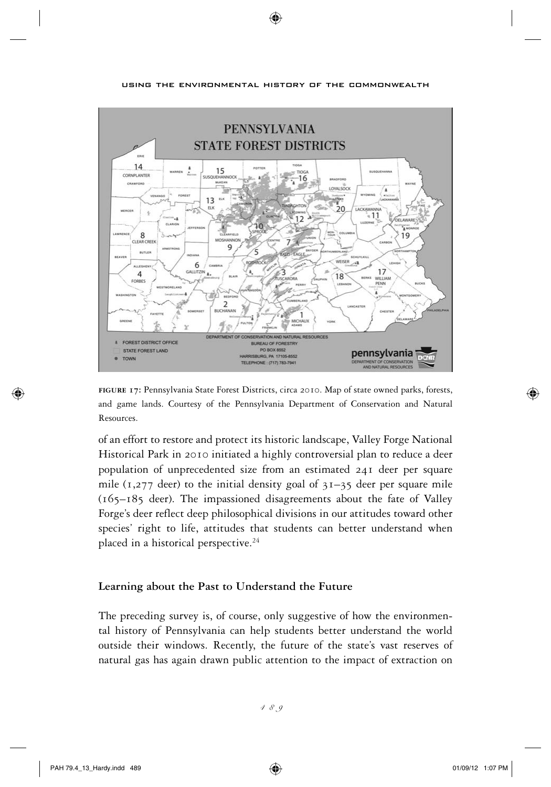

⊕

**figure 17:** Pennsylvania State Forest Districts, circa 2010. Map of state owned parks, forests, and game lands. Courtesy of the Pennsylvania Department of Conservation and Natural Resources.

of an effort to restore and protect its historic landscape, Valley Forge National Historical Park in 2010 initiated a highly controversial plan to reduce a deer population of unprecedented size from an estimated 241 deer per square mile ( $1,277$  deer) to the initial density goal of  $31-35$  deer per square mile (165–185 deer). The impassioned disagreements about the fate of Valley Forge's deer reflect deep philosophical divisions in our attitudes toward other species' right to life, attitudes that students can better understand when placed in a historical perspective.<sup>24</sup>

## **Learning about the Past to Understand the Future**

The preceding survey is, of course, only suggestive of how the environmental history of Pennsylvania can help students better understand the world outside their windows. Recently, the future of the state's vast reserves of natural gas has again drawn public attention to the impact of extraction on

⊕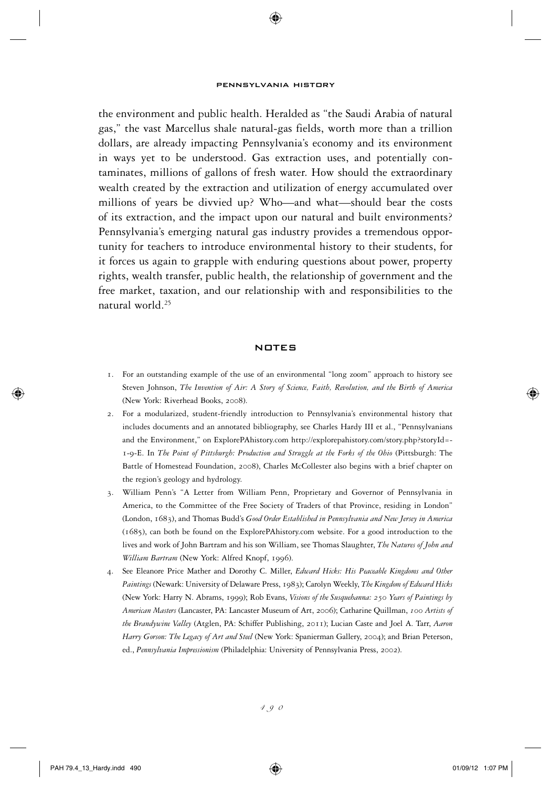the environment and public health. Heralded as "the Saudi Arabia of natural gas," the vast Marcellus shale natural-gas fields, worth more than a trillion dollars, are already impacting Pennsylvania's economy and its environment in ways yet to be understood. Gas extraction uses, and potentially contaminates, millions of gallons of fresh water. How should the extraordinary wealth created by the extraction and utilization of energy accumulated over millions of years be divvied up? Who—and what—should bear the costs of its extraction, and the impact upon our natural and built environments? Pennsylvania's emerging natural gas industry provides a tremendous opportunity for teachers to introduce environmental history to their students, for it forces us again to grapple with enduring questions about power, property rights, wealth transfer, public health, the relationship of government and the free market, taxation, and our relationship with and responsibilities to the natural world.<sup>25</sup>

#### **NOTES**

- 1. For an outstanding example of the use of an environmental "long zoom" approach to history see Steven Johnson, *The Invention of Air: A Story of Science, Faith, Revolution, and the Birth of America* (New York: Riverhead Books, 2008).
- 2. For a modularized, student-friendly introduction to Pennsylvania's environmental history that includes documents and an annotated bibliography, see Charles Hardy III et al., "Pennsylvanians and the Environment," on ExplorePAhistory.com http://explorepahistory.com/story.php?storyId=- 1-9-E. In *The Point of Pittsburgh: Production and Struggle at the Forks of the Ohio* (Pittsburgh: The Battle of Homestead Foundation, 2008), Charles McCollester also begins with a brief chapter on the region's geology and hydrology.
- 3. William Penn's "A Letter from William Penn, Proprietary and Governor of Pennsylvania in America, to the Committee of the Free Society of Traders of that Province, residing in London" (London, 1683), and Thomas Budd's *Good Order Established in Pennsylvania and New Jersey in America* (1685), can both be found on the ExplorePAhistory.com website. For a good introduction to the lives and work of John Bartram and his son William, see Thomas Slaughter, *The Natures of John and William Bartram* (New York: Alfred Knopf, 1996).
- 4. See Eleanore Price Mather and Dorothy C. Miller, *Edward Hicks: His Peaceable Kingdoms and Other Paintings* (Newark: University of Delaware Press, 1983); Carolyn Weekly, *The Kingdom of Edward Hicks* (New York: Harry N. Abrams, 1999); Rob Evans, *Visions of the Susquehanna: 250 Years of Paintings by American Masters* (Lancaster, PA: Lancaster Museum of Art, 2006); Catharine Quillman, *100 Artists of the Brandywine Valley* (Atglen, PA: Schiffer Publishing, 2011); Lucian Caste and Joel A. Tarr, *Aaron Harry Gorson: The Legacy of Art and Steel* (New York: Spanierman Gallery, 2004); and Brian Peterson, ed., *Pennsylvania Impressionism* (Philadelphia: University of Pennsylvania Press, 2002).

(⊕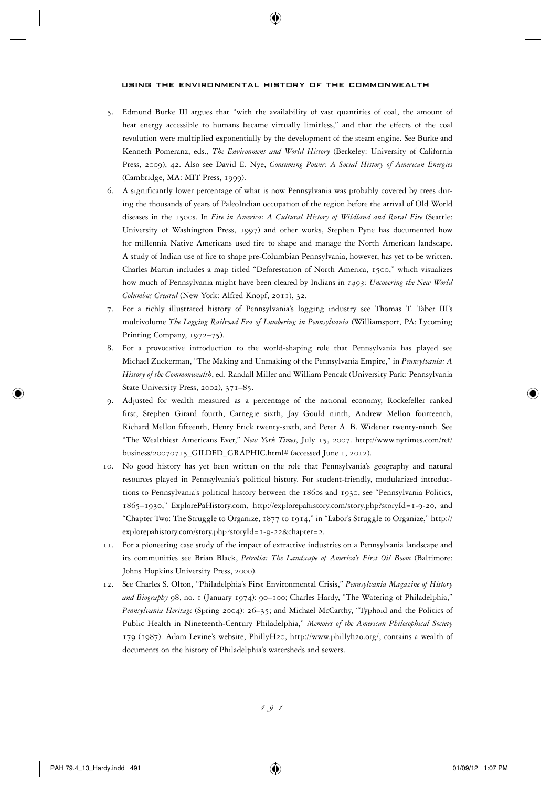- 5. Edmund Burke III argues that "with the availability of vast quantities of coal, the amount of heat energy accessible to humans became virtually limitless," and that the effects of the coal revolution were multiplied exponentially by the development of the steam engine. See Burke and Kenneth Pomeranz, eds., *The Environment and World History* (Berkeley: University of California Press, 2009), 42. Also see David E. Nye, *Consuming Power: A Social History of American Energies* (Cambridge, MA: MIT Press, 1999).
- 6. A significantly lower percentage of what is now Pennsylvania was probably covered by trees during the thousands of years of PaleoIndian occupation of the region before the arrival of Old World diseases in the 1500s. In *Fire in America: A Cultural History of Wildland and Rural Fire* (Seattle: University of Washington Press, 1997) and other works, Stephen Pyne has documented how for millennia Native Americans used fire to shape and manage the North American landscape. A study of Indian use of fire to shape pre-Columbian Pennsylvania, however, has yet to be written. Charles Martin includes a map titled "Deforestation of North America, 1500," which visualizes how much of Pennsylvania might have been cleared by Indians in *1493: Uncovering the New World Columbus Created* (New York: Alfred Knopf, 2011), 32.
- 7. For a richly illustrated history of Pennsylvania's logging industry see Thomas T. Taber III's multivolume *The Logging Railroad Era of Lumbering in Pennsylvania* (Williamsport, PA: Lycoming Printing Company, 1972–75).
- 8. For a provocative introduction to the world-shaping role that Pennsylvania has played see Michael Zuckerman, "The Making and Unmaking of the Pennsylvania Empire," in *Pennsylvania: A History of the Commonwealth*, ed. Randall Miller and William Pencak (University Park: Pennsylvania State University Press, 2002), 371–85.
- 9. Adjusted for wealth measured as a percentage of the national economy, Rockefeller ranked first, Stephen Girard fourth, Carnegie sixth, Jay Gould ninth, Andrew Mellon fourteenth, Richard Mellon fifteenth, Henry Frick twenty-sixth, and Peter A. B. Widener twenty-ninth. See "The Wealthiest Americans Ever," *New York Times*, July 15, 2007. http://www.nytimes.com/ref/ business/20070715\_GILDED\_GRAPHIC.html# (accessed June 1, 2012).
- 10. No good history has yet been written on the role that Pennsylvania's geography and natural resources played in Pennsylvania's political history. For student-friendly, modularized introductions to Pennsylvania's political history between the 1860s and 1930, see "Pennsylvania Politics, 1865–1930," ExplorePaHistory.com, http://explorepahistory.com/story.php?storyId=1-9-20, and "Chapter Two: The Struggle to Organize, 1877 to 1914," in "Labor's Struggle to Organize," http:// explorepahistory.com/story.php?storyId=1-9-22&chapter=2.
- 11. For a pioneering case study of the impact of extractive industries on a Pennsylvania landscape and its communities see Brian Black, *Petrolia: The Landscape of America's First Oil Boom* (Baltimore: Johns Hopkins University Press, 2000).
- 12. See Charles S. Olton, "Philadelphia's First Environmental Crisis," *Pennsylvania Magazine of History and Biography* 98, no. 1 (January 1974): 90–100; Charles Hardy, "The Watering of Philadelphia," *Pennsylvania Heritage* (Spring 2004): 26–35; and Michael McCarthy, "Typhoid and the Politics of Public Health in Nineteenth-Century Philadelphia," *Memoirs of the American Philosophical Society* 179 (1987). Adam Levine's website, PhillyH20, http://www.phillyh2o.org/, contains a wealth of documents on the history of Philadelphia's watersheds and sewers.

 $\textcolor{blue}{\textcircled{\centerdot}}$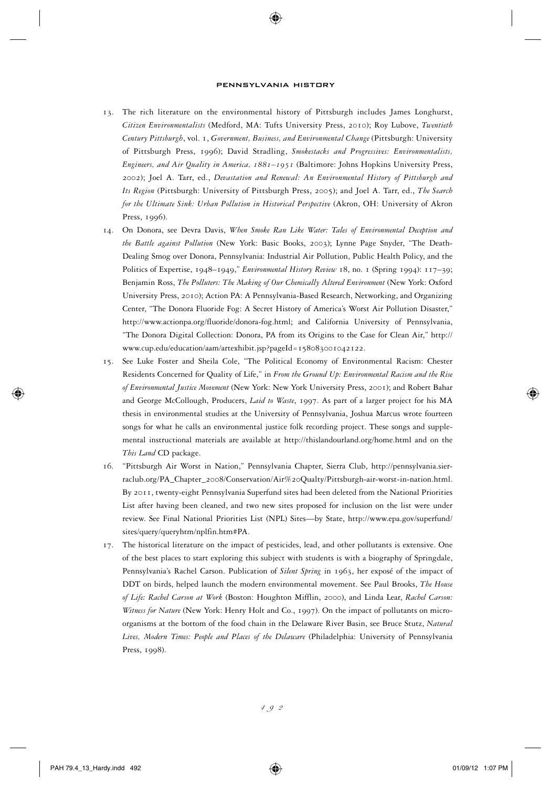- 13. The rich literature on the environmental history of Pittsburgh includes James Longhurst, *Citizen Environmentalists* (Medford, MA: Tufts University Press, 2010); Roy Lubove, *Twentieth Century Pittsburgh*, vol. 1, *Government, Business, and Environmental Change* (Pittsburgh: University of Pittsburgh Press, 1996); David Stradling, *Smokestacks and Progressives: Environmentalists, Engineers, and Air Quality in America, 1881–1951* (Baltimore: Johns Hopkins University Press, 2002); Joel A. Tarr, ed., *Devastation and Renewal: An Environmental History of Pittsburgh and Its Region* (Pittsburgh: University of Pittsburgh Press, 2005); and Joel A. Tarr, ed., *The Search for the Ultimate Sink: Urban Pollution in Historical Perspective* (Akron, OH: University of Akron Press, 1996).
- 14. On Donora, see Devra Davis, *When Smoke Ran Like Water: Tales of Environmental Deception and the Battle against Pollution* (New York: Basic Books, 2003); Lynne Page Snyder, "The Death-Dealing Smog over Donora, Pennsylvania: Industrial Air Pollution, Public Health Policy, and the Politics of Expertise, 1948–1949," *Environmental History Review* 18, no. 1 (Spring 1994): 117–39; Benjamin Ross, *The Polluters: The Making of Our Chemically Altered Environment* (New York: Oxford University Press, 2010); Action PA: A Pennsylvania-Based Research, Networking, and Organizing Center, "The Donora Fluoride Fog: A Secret History of America's Worst Air Pollution Disaster," http://www.actionpa.org/fluoride/donora-fog.html; and California University of Pennsylvania, "The Donora Digital Collection: Donora, PA from its Origins to the Case for Clean Air," http:// www.cup.edu/education/aam/artexhibit.jsp?pageId=158083001042122.
- 15. See Luke Foster and Sheila Cole, "The Political Economy of Environmental Racism: Chester Residents Concerned for Quality of Life," in *From the Ground Up: Environmental Racism and the Rise of Environmental Justice Movement* (New York: New York University Press, 2001); and Robert Bahar and George McCollough, Producers, *Laid to Waste*, 1997. As part of a larger project for his MA thesis in environmental studies at the University of Pennsylvania, Joshua Marcus wrote fourteen songs for what he calls an environmental justice folk recording project. These songs and supplemental instructional materials are available at http://thislandourland.org/home.html and on the *This Land* CD package.
- 16. "Pittsburgh Air Worst in Nation," Pennsylvania Chapter, Sierra Club, http://pennsylvania.sierraclub.org/PA\_Chapter\_2008/Conservation/Air%20Qualty/Pittsburgh-air-worst-in-nation.html. By 2011, twenty-eight Pennsylvania Superfund sites had been deleted from the National Priorities List after having been cleaned, and two new sites proposed for inclusion on the list were under review. See Final National Priorities List (NPL) Sites—by State, http://www.epa.gov/superfund/ sites/query/queryhtm/nplfin.htm#PA.
- 17. The historical literature on the impact of pesticides, lead, and other pollutants is extensive. One of the best places to start exploring this subject with students is with a biography of Springdale, Pennsylvania's Rachel Carson. Publication of *Silent Spring* in 1963, her exposé of the impact of DDT on birds, helped launch the modern environmental movement. See Paul Brooks, *The House of Life: Rachel Carson at Work* (Boston: Houghton Mifflin, 2000), and Linda Lear, *Rachel Carson: Witness for Nature* (New York: Henry Holt and Co., 1997). On the impact of pollutants on microorganisms at the bottom of the food chain in the Delaware River Basin, see Bruce Stutz, *Natural Lives, Modern Times: People and Places of the Delaware* (Philadelphia: University of Pennsylvania Press, 1998).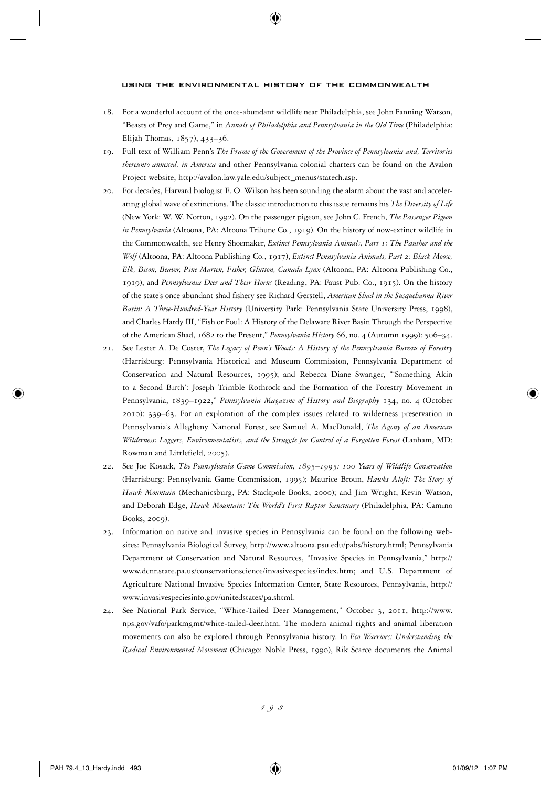- 18. For a wonderful account of the once-abundant wildlife near Philadelphia, see John Fanning Watson, "Beasts of Prey and Game," in *Annals of Philadelphia and Pennsylvania in the Old Time* (Philadelphia: Elijah Thomas, 1857), 433–36.
- 19. Full text of William Penn's *The Frame of the Government of the Province of Pennsylvania and, Territories thereunto annexed, in America* and other Pennsylvania colonial charters can be found on the Avalon Project website, http://avalon.law.yale.edu/subject\_menus/statech.asp.
- 20. For decades, Harvard biologist E. O. Wilson has been sounding the alarm about the vast and accelerating global wave of extinctions. The classic introduction to this issue remains his *The Diversity of Life* (New York: W. W. Norton, 1992). On the passenger pigeon, see John C. French, *The Passenger Pigeon in Pennsylvania* (Altoona, PA: Altoona Tribune Co., 1919). On the history of now-extinct wildlife in the Commonwealth, see Henry Shoemaker, *Extinct Pennsylvania Animals, Part 1: The Panther and the Wolf* (Altoona, PA: Altoona Publishing Co., 1917), *Extinct Pennsylvania Animals, Part 2: Black Moose, Elk, Bison, Beaver, Pine Marten, Fisher, Glutton, Canada Lynx* (Altoona, PA: Altoona Publishing Co., 1919), and *Pennsylvania Deer and Their Horns* (Reading, PA: Faust Pub. Co., 1915). On the history of the state's once abundant shad fishery see Richard Gerstell, *American Shad in the Susquehanna River Basin: A Three-Hundred-Year History* (University Park: Pennsylvania State University Press, 1998), and Charles Hardy III, "Fish or Foul: A History of the Delaware River Basin Through the Perspective of the American Shad, 1682 to the Present," *Pennsylvania History* 66, no. 4 (Autumn 1999): 506–34.
- 21. See Lester A. De Coster, *The Legacy of Penn's Woods: A History of the Pennsylvania Bureau of Forestry* (Harrisburg: Pennsylvania Historical and Museum Commission, Pennsylvania Department of Conservation and Natural Resources, 1995); and Rebecca Diane Swanger, "'Something Akin to a Second Birth': Joseph Trimble Rothrock and the Formation of the Forestry Movement in Pennsylvania, 1839–1922," *Pennsylvania Magazine of History and Biography* 134, no. 4 (October 2010): 339–63. For an exploration of the complex issues related to wilderness preservation in Pennsylvania's Allegheny National Forest, see Samuel A. MacDonald, *The Agony of an American Wilderness: Loggers, Environmentalists, and the Struggle for Control of a Forgotten Forest* (Lanham, MD: Rowman and Littlefield, 2005).
- 22. See Joe Kosack, *The Pennsylvania Game Commission, 1895–1995: 100 Years of Wildlife Conservation* (Harrisburg: Pennsylvania Game Commission, 1995); Maurice Broun, *Hawks Aloft: The Story of Hawk Mountain* (Mechanicsburg, PA: Stackpole Books, 2000); and Jim Wright, Kevin Watson, and Deborah Edge, *Hawk Mountain: The World's First Raptor Sanctuary* (Philadelphia, PA: Camino Books, 2009).
- 23. Information on native and invasive species in Pennsylvania can be found on the following websites: Pennsylvania Biological Survey, http://www.altoona.psu.edu/pabs/history.html; Pennsylvania Department of Conservation and Natural Resources, "Invasive Species in Pennsylvania," http:// www.dcnr.state.pa.us/conservationscience/invasivespecies/index.htm; and U.S. Department of Agriculture National Invasive Species Information Center, State Resources, Pennsylvania, http:// www.invasivespeciesinfo.gov/unitedstates/pa.shtml.
- 24. See National Park Service, "White-Tailed Deer Management," October 3, 2011, http://www. nps.gov/vafo/parkmgmt/white-tailed-deer.htm. The modern animal rights and animal liberation movements can also be explored through Pennsylvania history. In *Eco Warriors: Understanding the Radical Environmental Movement* (Chicago: Noble Press, 1990), Rik Scarce documents the Animal